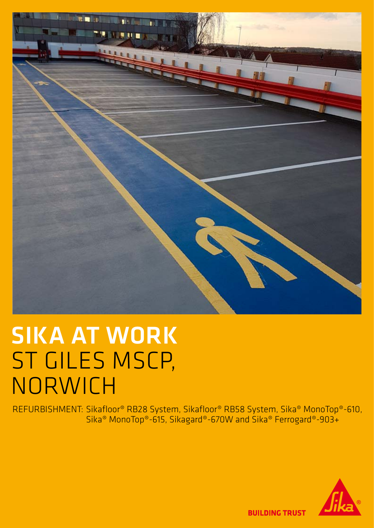

## SIKA AT WORK ST GILES MSCP, NORWICH

REFURBISHMENT: Sikafloor® RB28 System, Sikafloor® RB58 System, Sika® MonoTop®-610, Sika® MonoTop®-615, Sikagard®-670W and Sika® Ferrogard®-903+



**BUILDING TRUST**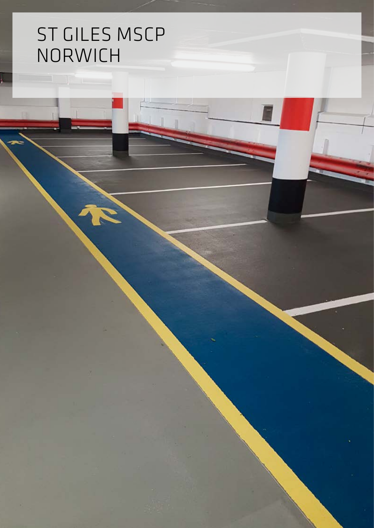## ST GILES MSCP NORWICH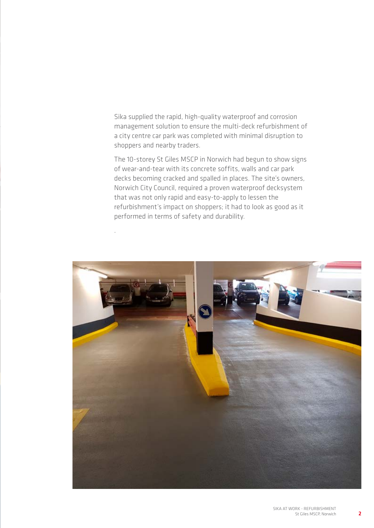Sika supplied the rapid, high-quality waterproof and corrosion management solution to ensure the multi-deck refurbishment of a city centre car park was completed with minimal disruption to shoppers and nearby traders.

The 10-storey St Giles MSCP in Norwich had begun to show signs of wear-and-tear with its concrete soffits, walls and car park decks becoming cracked and spalled in places. The site's owners, Norwich City Council, required a proven waterproof decksystem that was not only rapid and easy-to-apply to lessen the refurbishment's impact on shoppers; it had to look as good as it performed in terms of safety and durability.

.



2